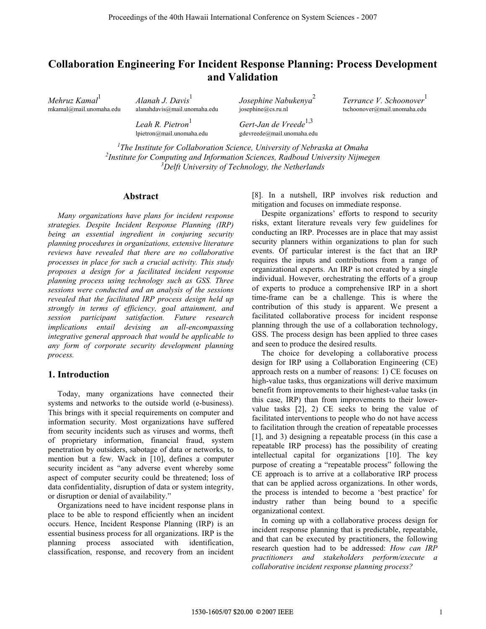# **Collaboration Engineering For Incident Response Planning: Process Development and Validation**

*Mehruz Kamal*<sup>1</sup> mkamal@mail.unomaha.edu *Alanah J. Davis*<sup>1</sup> alanahdavis@mail.unomaha.edu *Josephine Nabukenya*<sup>2</sup> josephine@cs.ru.nl

*Terrance V. Schoonover*<sup>1</sup> tschoonover@mail.unomaha.edu

Leah R. Pietron<sup>1</sup> lpietron@mail.unomaha.edu

Gert-Jan de Vreede<sup>1,3</sup> gdevreede@mail.unomaha.edu

*1 The Institute for Collaboration Science, University of Nebraska at Omaha 2 Institute for Computing and Information Sciences, Radboud University Nijmegen 3 Delft University of Technology, the Netherlands* 

#### **Abstract**

*Many organizations have plans for incident response strategies. Despite Incident Response Planning (IRP) being an essential ingredient in conjuring security planning procedures in organizations, extensive literature reviews have revealed that there are no collaborative processes in place for such a crucial activity. This study proposes a design for a facilitated incident response planning process using technology such as GSS. Three sessions were conducted and an analysis of the sessions revealed that the facilitated IRP process design held up strongly in terms of efficiency, goal attainment, and session participant satisfaction. Future research implications entail devising an all-encompassing integrative general approach that would be applicable to any form of corporate security development planning process.*

#### **1. Introduction**

Today, many organizations have connected their systems and networks to the outside world (e-business). This brings with it special requirements on computer and information security. Most organizations have suffered from security incidents such as viruses and worms, theft of proprietary information, financial fraud, system penetration by outsiders, sabotage of data or networks, to mention but a few. Wack in [10], defines a computer security incident as "any adverse event whereby some aspect of computer security could be threatened; loss of data confidentiality, disruption of data or system integrity, or disruption or denial of availability."

Organizations need to have incident response plans in place to be able to respond efficiently when an incident occurs. Hence, Incident Response Planning (IRP) is an essential business process for all organizations. IRP is the planning process associated with identification, classification, response, and recovery from an incident [8]. In a nutshell, IRP involves risk reduction and mitigation and focuses on immediate response.

Despite organizations' efforts to respond to security risks, extant literature reveals very few guidelines for conducting an IRP. Processes are in place that may assist security planners within organizations to plan for such events. Of particular interest is the fact that an IRP requires the inputs and contributions from a range of organizational experts. An IRP is not created by a single individual. However, orchestrating the efforts of a group of experts to produce a comprehensive IRP in a short time-frame can be a challenge. This is where the contribution of this study is apparent. We present a facilitated collaborative process for incident response planning through the use of a collaboration technology, GSS. The process design has been applied to three cases and seen to produce the desired results.

The choice for developing a collaborative process design for IRP using a Collaboration Engineering (CE) approach rests on a number of reasons: 1) CE focuses on high-value tasks, thus organizations will derive maximum benefit from improvements to their highest-value tasks (in this case, IRP) than from improvements to their lowervalue tasks [2], 2) CE seeks to bring the value of facilitated interventions to people who do not have access to facilitation through the creation of repeatable processes [1], and 3) designing a repeatable process (in this case a repeatable IRP process) has the possibility of creating intellectual capital for organizations [10]. The key purpose of creating a "repeatable process" following the CE approach is to arrive at a collaborative IRP process that can be applied across organizations. In other words, the process is intended to become a 'best practice' for industry rather than being bound to a specific organizational context.

In coming up with a collaborative process design for incident response planning that is predictable, repeatable, and that can be executed by practitioners, the following research question had to be addressed: *How can IRP practitioners and stakeholders perform/execute a collaborative incident response planning process?*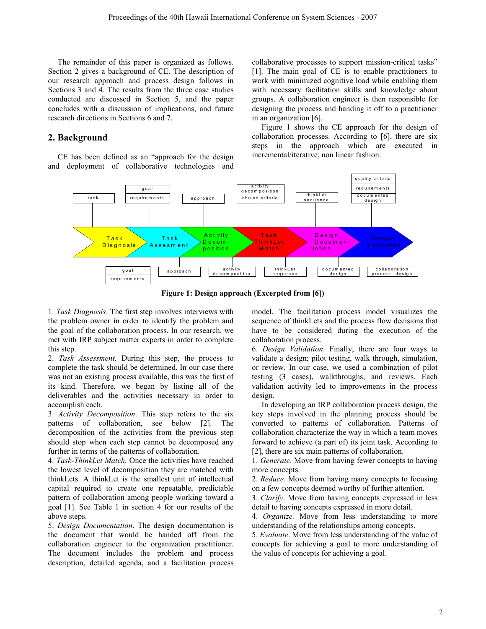The remainder of this paper is organized as follows. Section 2 gives a background of CE. The description of our research approach and process design follows in Sections 3 and 4. The results from the three case studies conducted are discussed in Section 5, and the paper concludes with a discussion of implications, and future research directions in Sections 6 and 7.

# **2. Background**

CE has been defined as an "approach for the design and deployment of collaborative technologies and collaborative processes to support mission-critical tasks" [1]. The main goal of CE is to enable practitioners to work with minimized cognitive load while enabling them with necessary facilitation skills and knowledge about groups. A collaboration engineer is then responsible for designing the process and handing it off to a practitioner in an organization [6].

Figure 1 shows the CE approach for the design of collaboration processes. According to [6], there are six steps in the approach which are executed in incremental/iterative, non linear fashion:



**Figure 1: Design approach (Excerpted from [6])** 

1. *Task Diagnosis*. The first step involves interviews with the problem owner in order to identify the problem and the goal of the collaboration process. In our research, we met with IRP subject matter experts in order to complete this step.

2. *Task Assessment*. During this step, the process to complete the task should be determined. In our case there was not an existing process available, this was the first of its kind. Therefore, we began by listing all of the deliverables and the activities necessary in order to accomplish each.

3. *Activity Decomposition*. This step refers to the six patterns of collaboration, see below [2]. The decomposition of the activities from the previous step should stop when each step cannot be decomposed any further in terms of the patterns of collaboration.

4. *Task-ThinkLet Match.* Once the activities have reached the lowest level of decomposition they are matched with thinkLets. A thinkLet is the smallest unit of intellectual capital required to create one repeatable, predictable pattern of collaboration among people working toward a goal [1]. See Table 1 in section 4 for our results of the above steps.

5. *Design Documentation*. The design documentation is the document that would be handed off from the collaboration engineer to the organization practitioner. The document includes the problem and process description, detailed agenda, and a facilitation process model. The facilitation process model visualizes the sequence of thinkLets and the process flow decisions that have to be considered during the execution of the collaboration process.

6. *Design Validation*. Finally, there are four ways to validate a design; pilot testing, walk through, simulation, or review. In our case, we used a combination of pilot testing (3 cases), walkthroughs, and reviews. Each validation activity led to improvements in the process design.

In developing an IRP collaboration process design, the key steps involved in the planning process should be converted to patterns of collaboration. Patterns of collaboration characterize the way in which a team moves forward to achieve (a part of) its joint task. According to [2], there are six main patterns of collaboration.

1. *Generate*. Move from having fewer concepts to having more concepts.

2. *Reduce*. Move from having many concepts to focusing on a few concepts deemed worthy of further attention.

3. *Clarify*. Move from having concepts expressed in less detail to having concepts expressed in more detail.

4. *Organize.* Move from less understanding to more understanding of the relationships among concepts.

5. *Evaluate*. Move from less understanding of the value of concepts for achieving a goal to more understanding of the value of concepts for achieving a goal.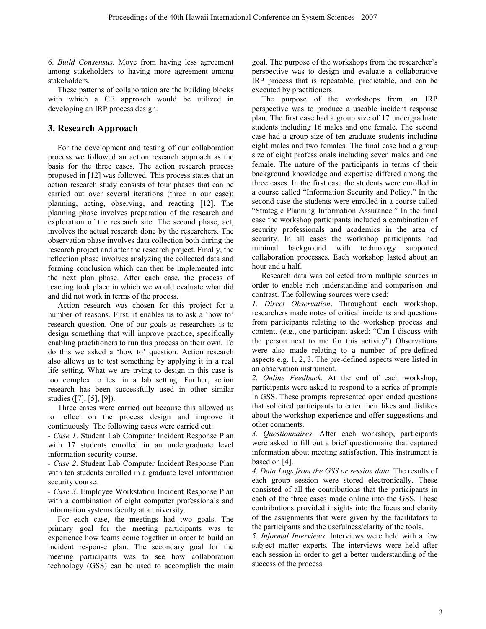6. *Build Consensus*. Move from having less agreement among stakeholders to having more agreement among stakeholders.

These patterns of collaboration are the building blocks with which a CE approach would be utilized in developing an IRP process design.

# **3. Research Approach**

For the development and testing of our collaboration process we followed an action research approach as the basis for the three cases. The action research process proposed in [12] was followed. This process states that an action research study consists of four phases that can be carried out over several iterations (three in our case): planning, acting, observing, and reacting [12]. The planning phase involves preparation of the research and exploration of the research site. The second phase, act, involves the actual research done by the researchers. The observation phase involves data collection both during the research project and after the research project. Finally, the reflection phase involves analyzing the collected data and forming conclusion which can then be implemented into the next plan phase. After each case, the process of reacting took place in which we would evaluate what did and did not work in terms of the process.

Action research was chosen for this project for a number of reasons. First, it enables us to ask a 'how to' research question. One of our goals as researchers is to design something that will improve practice, specifically enabling practitioners to run this process on their own. To do this we asked a 'how to' question. Action research also allows us to test something by applying it in a real life setting. What we are trying to design in this case is too complex to test in a lab setting. Further, action research has been successfully used in other similar studies ([7], [5], [9]).

Three cases were carried out because this allowed us to reflect on the process design and improve it continuously. The following cases were carried out:

*- Case 1*. Student Lab Computer Incident Response Plan with 17 students enrolled in an undergraduate level information security course.

*- Case 2*. Student Lab Computer Incident Response Plan with ten students enrolled in a graduate level information security course.

*- Case 3*. Employee Workstation Incident Response Plan with a combination of eight computer professionals and information systems faculty at a university.

For each case, the meetings had two goals. The primary goal for the meeting participants was to experience how teams come together in order to build an incident response plan. The secondary goal for the meeting participants was to see how collaboration technology (GSS) can be used to accomplish the main

goal. The purpose of the workshops from the researcher's perspective was to design and evaluate a collaborative IRP process that is repeatable, predictable, and can be executed by practitioners.

The purpose of the workshops from an IRP perspective was to produce a useable incident response plan. The first case had a group size of 17 undergraduate students including 16 males and one female. The second case had a group size of ten graduate students including eight males and two females. The final case had a group size of eight professionals including seven males and one female. The nature of the participants in terms of their background knowledge and expertise differed among the three cases. In the first case the students were enrolled in a course called "Information Security and Policy." In the second case the students were enrolled in a course called "Strategic Planning Information Assurance." In the final case the workshop participants included a combination of security professionals and academics in the area of security. In all cases the workshop participants had minimal background with technology supported collaboration processes. Each workshop lasted about an hour and a half.

Research data was collected from multiple sources in order to enable rich understanding and comparison and contrast. The following sources were used:

*1. Direct Observation*. Throughout each workshop, researchers made notes of critical incidents and questions from participants relating to the workshop process and content. (e.g., one participant asked: "Can I discuss with the person next to me for this activity") Observations were also made relating to a number of pre-defined aspects e.g. 1, 2, 3. The pre-defined aspects were listed in an observation instrument.

*2. Online Feedback*. At the end of each workshop, participants were asked to respond to a series of prompts in GSS. These prompts represented open ended questions that solicited participants to enter their likes and dislikes about the workshop experience and offer suggestions and other comments.

*3. Questionnaires*. After each workshop, participants were asked to fill out a brief questionnaire that captured information about meeting satisfaction. This instrument is based on [4].

*4. Data Logs from the GSS or session data*. The results of each group session were stored electronically. These consisted of all the contributions that the participants in each of the three cases made online into the GSS. These contributions provided insights into the focus and clarity of the assignments that were given by the facilitators to the participants and the usefulness/clarity of the tools.

*5. Informal Interviews*. Interviews were held with a few subject matter experts. The interviews were held after each session in order to get a better understanding of the success of the process.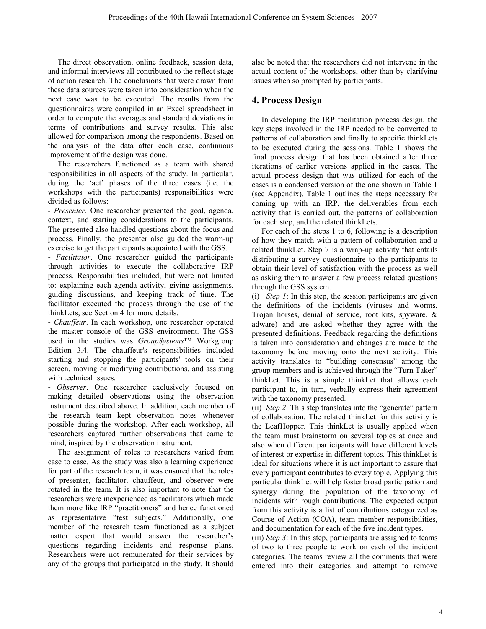The direct observation, online feedback, session data, and informal interviews all contributed to the reflect stage of action research. The conclusions that were drawn from these data sources were taken into consideration when the next case was to be executed. The results from the questionnaires were compiled in an Excel spreadsheet in order to compute the averages and standard deviations in terms of contributions and survey results. This also allowed for comparison among the respondents. Based on the analysis of the data after each case, continuous improvement of the design was done.

The researchers functioned as a team with shared responsibilities in all aspects of the study. In particular, during the 'act' phases of the three cases (i.e. the workshops with the participants) responsibilities were divided as follows:

*- Presenter*. One researcher presented the goal, agenda, context, and starting considerations to the participants. The presented also handled questions about the focus and process. Finally, the presenter also guided the warm-up exercise to get the participants acquainted with the GSS.

*- Facilitator*. One researcher guided the participants through activities to execute the collaborative IRP process. Responsibilities included, but were not limited to: explaining each agenda activity, giving assignments, guiding discussions, and keeping track of time. The facilitator executed the process through the use of the thinkLets, see Section 4 for more details.

*- Chauffeur*. In each workshop, one researcher operated the master console of the GSS environment. The GSS used in the studies was *GroupSystems*™ Workgroup Edition 3.4. The chauffeur's responsibilities included starting and stopping the participants' tools on their screen, moving or modifying contributions, and assisting with technical issues.

*- Observer*. One researcher exclusively focused on making detailed observations using the observation instrument described above. In addition, each member of the research team kept observation notes whenever possible during the workshop. After each workshop, all researchers captured further observations that came to mind, inspired by the observation instrument.

The assignment of roles to researchers varied from case to case. As the study was also a learning experience for part of the research team, it was ensured that the roles of presenter, facilitator, chauffeur, and observer were rotated in the team. It is also important to note that the researchers were inexperienced as facilitators which made them more like IRP "practitioners" and hence functioned as representative "test subjects." Additionally, one member of the research team functioned as a subject matter expert that would answer the researcher's questions regarding incidents and response plans. Researchers were not remunerated for their services by any of the groups that participated in the study. It should also be noted that the researchers did not intervene in the actual content of the workshops, other than by clarifying issues when so prompted by participants.

# **4. Process Design**

In developing the IRP facilitation process design, the key steps involved in the IRP needed to be converted to patterns of collaboration and finally to specific thinkLets to be executed during the sessions. Table 1 shows the final process design that has been obtained after three iterations of earlier versions applied in the cases. The actual process design that was utilized for each of the cases is a condensed version of the one shown in Table 1 (see Appendix). Table 1 outlines the steps necessary for coming up with an IRP, the deliverables from each activity that is carried out, the patterns of collaboration for each step, and the related thinkLets.

For each of the steps 1 to 6, following is a description of how they match with a pattern of collaboration and a related thinkLet. Step 7 is a wrap-up activity that entails distributing a survey questionnaire to the participants to obtain their level of satisfaction with the process as well as asking them to answer a few process related questions through the GSS system.

(i) *Step 1*: In this step, the session participants are given the definitions of the incidents (viruses and worms, Trojan horses, denial of service, root kits, spyware, & adware) and are asked whether they agree with the presented definitions. Feedback regarding the definitions is taken into consideration and changes are made to the taxonomy before moving onto the next activity. This activity translates to "building consensus" among the group members and is achieved through the "Turn Taker" thinkLet. This is a simple thinkLet that allows each participant to, in turn, verbally express their agreement with the taxonomy presented.

(ii) *Step 2*: This step translates into the "generate" pattern of collaboration. The related thinkLet for this activity is the LeafHopper. This thinkLet is usually applied when the team must brainstorm on several topics at once and also when different participants will have different levels of interest or expertise in different topics. This thinkLet is ideal for situations where it is not important to assure that every participant contributes to every topic. Applying this particular thinkLet will help foster broad participation and synergy during the population of the taxonomy of incidents with rough contributions. The expected output from this activity is a list of contributions categorized as Course of Action (COA), team member responsibilities, and documentation for each of the five incident types.

(iii) *Step 3*: In this step, participants are assigned to teams of two to three people to work on each of the incident categories. The teams review all the comments that were entered into their categories and attempt to remove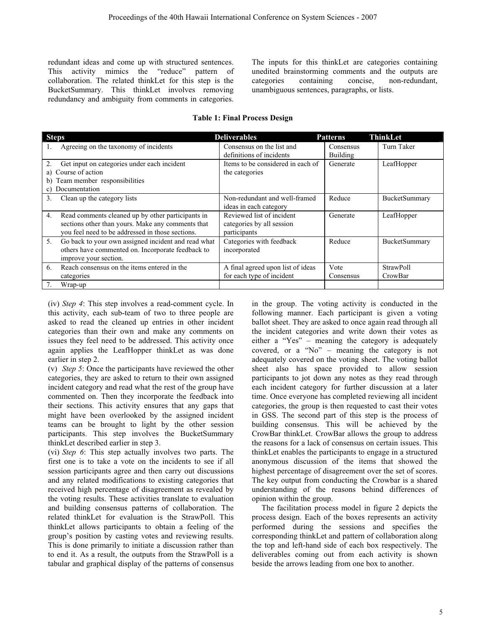redundant ideas and come up with structured sentences. This activity mimics the "reduce" pattern of collaboration. The related thinkLet for this step is the BucketSummary. This thinkLet involves removing redundancy and ambiguity from comments in categories.

The inputs for this thinkLet are categories containing unedited brainstorming comments and the outputs are categories containing concise, non-redundant, unambiguous sentences, paragraphs, or lists.

| <b>Steps</b>     |                                                     | <b>Deliverables</b>               | <b>Patterns</b> | <b>ThinkLet</b>      |
|------------------|-----------------------------------------------------|-----------------------------------|-----------------|----------------------|
|                  | Agreeing on the taxonomy of incidents               | Consensus on the list and         | Consensus       | Turn Taker           |
|                  |                                                     | definitions of incidents          | Building        |                      |
| 2.               | Get input on categories under each incident         | Items to be considered in each of | Generate        | LeafHopper           |
|                  | a) Course of action                                 | the categories                    |                 |                      |
| b)               | Team member responsibilities                        |                                   |                 |                      |
| C)               | Documentation                                       |                                   |                 |                      |
| 3.               | Clean up the category lists                         | Non-redundant and well-framed     | Reduce          | <b>BucketSummary</b> |
|                  |                                                     | ideas in each category            |                 |                      |
| $\overline{4}$ . | Read comments cleaned up by other participants in   | Reviewed list of incident         | Generate        | LeafHopper           |
|                  | sections other than yours. Make any comments that   | categories by all session         |                 |                      |
|                  | you feel need to be addressed in those sections.    | participants                      |                 |                      |
| 5.               | Go back to your own assigned incident and read what | Categories with feedback          | Reduce          | <b>BucketSummary</b> |
|                  | others have commented on. Incorporate feedback to   | incorporated                      |                 |                      |
|                  | improve your section.                               |                                   |                 |                      |
| -6.              | Reach consensus on the items entered in the         | A final agreed upon list of ideas | Vote            | StrawPoll            |

for each type of incident

### **Table 1: Final Process Design**

(iv) *Step 4*: This step involves a read-comment cycle. In this activity, each sub-team of two to three people are asked to read the cleaned up entries in other incident categories than their own and make any comments on issues they feel need to be addressed. This activity once again applies the LeafHopper thinkLet as was done earlier in step 2.

categories

Wrap-up

(v) *Step 5*: Once the participants have reviewed the other categories, they are asked to return to their own assigned incident category and read what the rest of the group have commented on. Then they incorporate the feedback into their sections. This activity ensures that any gaps that might have been overlooked by the assigned incident teams can be brought to light by the other session participants. This step involves the BucketSummary thinkLet described earlier in step 3.

(vi) *Step 6*: This step actually involves two parts. The first one is to take a vote on the incidents to see if all session participants agree and then carry out discussions and any related modifications to existing categories that received high percentage of disagreement as revealed by the voting results. These activities translate to evaluation and building consensus patterns of collaboration. The related thinkLet for evaluation is the StrawPoll. This thinkLet allows participants to obtain a feeling of the group's position by casting votes and reviewing results. This is done primarily to initiate a discussion rather than to end it. As a result, the outputs from the StrawPoll is a tabular and graphical display of the patterns of consensus

in the group. The voting activity is conducted in the following manner. Each participant is given a voting ballot sheet. They are asked to once again read through all the incident categories and write down their votes as either a "Yes" – meaning the category is adequately covered, or a "No" – meaning the category is not adequately covered on the voting sheet. The voting ballot sheet also has space provided to allow session participants to jot down any notes as they read through each incident category for further discussion at a later time. Once everyone has completed reviewing all incident categories, the group is then requested to cast their votes in GSS. The second part of this step is the process of building consensus. This will be achieved by the CrowBar thinkLet. CrowBar allows the group to address the reasons for a lack of consensus on certain issues. This thinkLet enables the participants to engage in a structured anonymous discussion of the items that showed the highest percentage of disagreement over the set of scores. The key output from conducting the Crowbar is a shared understanding of the reasons behind differences of opinion within the group.

Consensus

CrowBar

The facilitation process model in figure 2 depicts the process design. Each of the boxes represents an activity performed during the sessions and specifies the corresponding thinkLet and pattern of collaboration along the top and left-hand side of each box respectively. The deliverables coming out from each activity is shown beside the arrows leading from one box to another.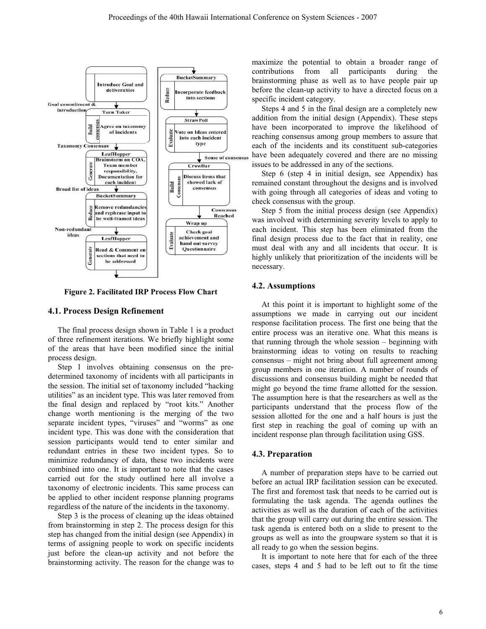

**Figure 2. Facilitated IRP Process Flow Chart** 

#### **4.1. Process Design Refinement**

The final process design shown in Table 1 is a product of three refinement iterations. We briefly highlight some of the areas that have been modified since the initial process design.

Step 1 involves obtaining consensus on the predetermined taxonomy of incidents with all participants in the session. The initial set of taxonomy included "hacking utilities" as an incident type. This was later removed from the final design and replaced by "root kits." Another change worth mentioning is the merging of the two separate incident types, "viruses" and "worms" as one incident type. This was done with the consideration that session participants would tend to enter similar and redundant entries in these two incident types. So to minimize redundancy of data, these two incidents were combined into one. It is important to note that the cases carried out for the study outlined here all involve a taxonomy of electronic incidents. This same process can be applied to other incident response planning programs regardless of the nature of the incidents in the taxonomy.

Step 3 is the process of cleaning up the ideas obtained from brainstorming in step 2. The process design for this step has changed from the initial design (see Appendix) in terms of assigning people to work on specific incidents just before the clean-up activity and not before the brainstorming activity. The reason for the change was to

maximize the potential to obtain a broader range of contributions from all participants during the brainstorming phase as well as to have people pair up before the clean-up activity to have a directed focus on a specific incident category.

Steps 4 and 5 in the final design are a completely new addition from the initial design (Appendix). These steps have been incorporated to improve the likelihood of reaching consensus among group members to assure that each of the incidents and its constituent sub-categories have been adequately covered and there are no missing issues to be addressed in any of the sections.

Step 6 (step 4 in initial design, see Appendix) has remained constant throughout the designs and is involved with going through all categories of ideas and voting to check consensus with the group.

Step 5 from the initial process design (see Appendix) was involved with determining severity levels to apply to each incident. This step has been eliminated from the final design process due to the fact that in reality, one must deal with any and all incidents that occur. It is highly unlikely that prioritization of the incidents will be necessary.

#### **4.2. Assumptions**

At this point it is important to highlight some of the assumptions we made in carrying out our incident response facilitation process. The first one being that the entire process was an iterative one. What this means is that running through the whole session – beginning with brainstorming ideas to voting on results to reaching consensus – might not bring about full agreement among group members in one iteration. A number of rounds of discussions and consensus building might be needed that might go beyond the time frame allotted for the session. The assumption here is that the researchers as well as the participants understand that the process flow of the session allotted for the one and a half hours is just the first step in reaching the goal of coming up with an incident response plan through facilitation using GSS.

#### **4.3. Preparation**

A number of preparation steps have to be carried out before an actual IRP facilitation session can be executed. The first and foremost task that needs to be carried out is formulating the task agenda. The agenda outlines the activities as well as the duration of each of the activities that the group will carry out during the entire session. The task agenda is entered both on a slide to present to the groups as well as into the groupware system so that it is all ready to go when the session begins.

It is important to note here that for each of the three cases, steps 4 and 5 had to be left out to fit the time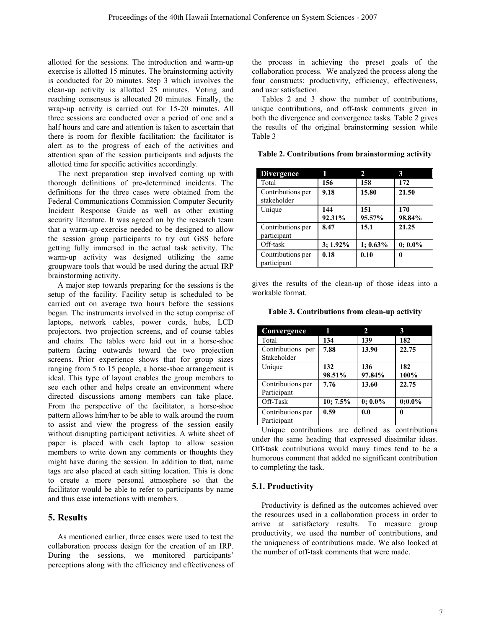allotted for the sessions. The introduction and warm-up exercise is allotted 15 minutes. The brainstorming activity is conducted for 20 minutes. Step 3 which involves the clean-up activity is allotted 25 minutes. Voting and reaching consensus is allocated 20 minutes. Finally, the wrap-up activity is carried out for 15-20 minutes. All three sessions are conducted over a period of one and a half hours and care and attention is taken to ascertain that there is room for flexible facilitation: the facilitator is alert as to the progress of each of the activities and attention span of the session participants and adjusts the allotted time for specific activities accordingly.

The next preparation step involved coming up with thorough definitions of pre-determined incidents. The definitions for the three cases were obtained from the Federal Communications Commission Computer Security Incident Response Guide as well as other existing security literature. It was agreed on by the research team that a warm-up exercise needed to be designed to allow the session group participants to try out GSS before getting fully immersed in the actual task activity. The warm-up activity was designed utilizing the same groupware tools that would be used during the actual IRP brainstorming activity.

A major step towards preparing for the sessions is the setup of the facility. Facility setup is scheduled to be carried out on average two hours before the sessions began. The instruments involved in the setup comprise of laptops, network cables, power cords, hubs, LCD projectors, two projection screens, and of course tables and chairs. The tables were laid out in a horse-shoe pattern facing outwards toward the two projection screens. Prior experience shows that for group sizes ranging from 5 to 15 people, a horse-shoe arrangement is ideal. This type of layout enables the group members to see each other and helps create an environment where directed discussions among members can take place. From the perspective of the facilitator, a horse-shoe pattern allows him/her to be able to walk around the room to assist and view the progress of the session easily without disrupting participant activities. A white sheet of paper is placed with each laptop to allow session members to write down any comments or thoughts they might have during the session. In addition to that, name tags are also placed at each sitting location. This is done to create a more personal atmosphere so that the facilitator would be able to refer to participants by name and thus ease interactions with members.

### **5. Results**

As mentioned earlier, three cases were used to test the collaboration process design for the creation of an IRP. During the sessions, we monitored participants' perceptions along with the efficiency and effectiveness of the process in achieving the preset goals of the collaboration process. We analyzed the process along the four constructs: productivity, efficiency, effectiveness, and user satisfaction.

Tables 2 and 3 show the number of contributions, unique contributions, and off-task comments given in both the divergence and convergence tasks. Table 2 gives the results of the original brainstorming session while Table 3

**Table 2. Contributions from brainstorming activity** 

| <b>Divergence</b>                |               |               |               |
|----------------------------------|---------------|---------------|---------------|
| Total                            | 156           | 158           | 172           |
| Contributions per<br>stakeholder | 9.18          | 15.80         | 21.50         |
| Unique                           | 144<br>92.31% | 151<br>95.57% | 170<br>98.84% |
| Contributions per<br>participant | 8.47          | 15.1          | 21.25         |
| Off-task                         | $3:1.92\%$    | $1:0.63\%$    | $0: 0.0\%$    |
| Contributions per<br>participant | 0.18          | 0.10          | 0             |

gives the results of the clean-up of those ideas into a workable format.

**Table 3. Contributions from clean-up activity** 

| Convergence                      |               | $\mathbf{2}$  |             |
|----------------------------------|---------------|---------------|-------------|
| Total                            | 134           | 139           | 182         |
| Contributions per<br>Stakeholder | 7.88          | 13.90         | 22.75       |
| Unique                           | 132<br>98.51% | 136<br>97.84% | 182<br>100% |
| Contributions per<br>Participant | 7.76          | 13.60         | 22.75       |
| Off-Task                         | 10: 7.5%      | $0: 0.0\%$    | $0:0.0\%$   |
| Contributions per<br>Participant | 0.59          | 0.0           | 0           |

Unique contributions are defined as contributions under the same heading that expressed dissimilar ideas. Off-task contributions would many times tend to be a humorous comment that added no significant contribution to completing the task.

### **5.1. Productivity**

Productivity is defined as the outcomes achieved over the resources used in a collaboration process in order to arrive at satisfactory results. To measure group productivity, we used the number of contributions, and the uniqueness of contributions made. We also looked at the number of off-task comments that were made.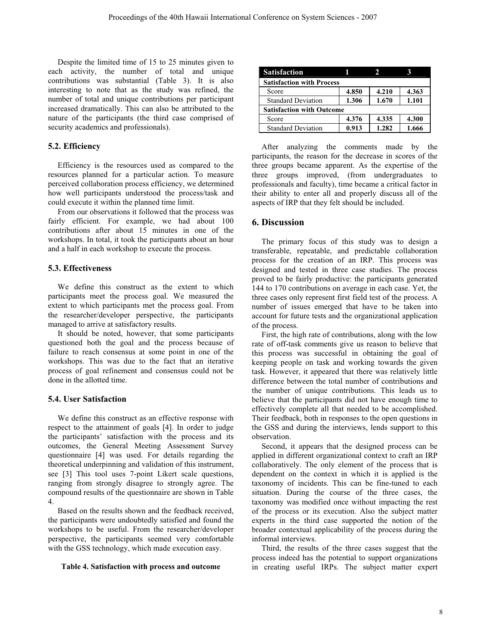Despite the limited time of 15 to 25 minutes given to each activity, the number of total and unique contributions was substantial (Table 3). It is also interesting to note that as the study was refined, the number of total and unique contributions per participant increased dramatically. This can also be attributed to the nature of the participants (the third case comprised of security academics and professionals).

### **5.2. Efficiency**

Efficiency is the resources used as compared to the resources planned for a particular action. To measure perceived collaboration process efficiency, we determined how well participants understood the process/task and could execute it within the planned time limit.

From our observations it followed that the process was fairly efficient. For example, we had about 100 contributions after about 15 minutes in one of the workshops. In total, it took the participants about an hour and a half in each workshop to execute the process.

### **5.3. Effectiveness**

We define this construct as the extent to which participants meet the process goal. We measured the extent to which participants met the process goal. From the researcher/developer perspective, the participants managed to arrive at satisfactory results.

It should be noted, however, that some participants questioned both the goal and the process because of failure to reach consensus at some point in one of the workshops. This was due to the fact that an iterative process of goal refinement and consensus could not be done in the allotted time.

#### **5.4. User Satisfaction**

We define this construct as an effective response with respect to the attainment of goals [4]. In order to judge the participants' satisfaction with the process and its outcomes, the General Meeting Assessment Survey questionnaire [4] was used. For details regarding the theoretical underpinning and validation of this instrument, see [3] This tool uses 7-point Likert scale questions, ranging from strongly disagree to strongly agree. The compound results of the questionnaire are shown in Table 4.

Based on the results shown and the feedback received, the participants were undoubtedly satisfied and found the workshops to be useful. From the researcher/developer perspective, the participants seemed very comfortable with the GSS technology, which made execution easy.

#### **Table 4. Satisfaction with process and outcome**

| <b>Satisfaction</b>              |       |       |       |
|----------------------------------|-------|-------|-------|
| <b>Satisfaction with Process</b> |       |       |       |
| Score                            | 4.850 | 4.210 | 4.363 |
| <b>Standard Deviation</b>        | 1.306 | 1.670 | 1.101 |
| <b>Satisfaction with Outcome</b> |       |       |       |
| Score                            | 4.376 | 4.335 | 4.300 |
| <b>Standard Deviation</b>        | 0.913 | 1.282 | 1.666 |

After analyzing the comments made by the participants, the reason for the decrease in scores of the three groups became apparent. As the expertise of the three groups improved, (from undergraduates to professionals and faculty), time became a critical factor in their ability to enter all and properly discuss all of the aspects of IRP that they felt should be included.

### **6. Discussion**

The primary focus of this study was to design a transferable, repeatable, and predictable collaboration process for the creation of an IRP. This process was designed and tested in three case studies. The process proved to be fairly productive: the participants generated 144 to 170 contributions on average in each case. Yet, the three cases only represent first field test of the process. A number of issues emerged that have to be taken into account for future tests and the organizational application of the process.

First, the high rate of contributions, along with the low rate of off-task comments give us reason to believe that this process was successful in obtaining the goal of keeping people on task and working towards the given task. However, it appeared that there was relatively little difference between the total number of contributions and the number of unique contributions. This leads us to believe that the participants did not have enough time to effectively complete all that needed to be accomplished. Their feedback, both in responses to the open questions in the GSS and during the interviews, lends support to this observation.

Second, it appears that the designed process can be applied in different organizational context to craft an IRP collaboratively. The only element of the process that is dependent on the context in which it is applied is the taxonomy of incidents. This can be fine-tuned to each situation. During the course of the three cases, the taxonomy was modified once without impacting the rest of the process or its execution. Also the subject matter experts in the third case supported the notion of the broader contextual applicability of the process during the informal interviews.

Third, the results of the three cases suggest that the process indeed has the potential to support organizations in creating useful IRPs. The subject matter expert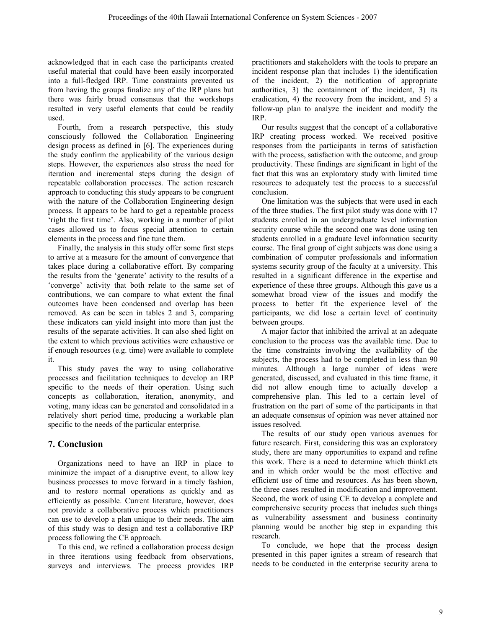acknowledged that in each case the participants created useful material that could have been easily incorporated into a full-fledged IRP. Time constraints prevented us from having the groups finalize any of the IRP plans but there was fairly broad consensus that the workshops resulted in very useful elements that could be readily used.

Fourth, from a research perspective, this study consciously followed the Collaboration Engineering design process as defined in [6]. The experiences during the study confirm the applicability of the various design steps. However, the experiences also stress the need for iteration and incremental steps during the design of repeatable collaboration processes. The action research approach to conducting this study appears to be congruent with the nature of the Collaboration Engineering design process. It appears to be hard to get a repeatable process 'right the first time'. Also, working in a number of pilot cases allowed us to focus special attention to certain elements in the process and fine tune them.

Finally, the analysis in this study offer some first steps to arrive at a measure for the amount of convergence that takes place during a collaborative effort. By comparing the results from the 'generate' activity to the results of a 'converge' activity that both relate to the same set of contributions, we can compare to what extent the final outcomes have been condensed and overlap has been removed. As can be seen in tables 2 and 3, comparing these indicators can yield insight into more than just the results of the separate activities. It can also shed light on the extent to which previous activities were exhaustive or if enough resources (e.g. time) were available to complete it.

This study paves the way to using collaborative processes and facilitation techniques to develop an IRP specific to the needs of their operation. Using such concepts as collaboration, iteration, anonymity, and voting, many ideas can be generated and consolidated in a relatively short period time, producing a workable plan specific to the needs of the particular enterprise.

# **7. Conclusion**

Organizations need to have an IRP in place to minimize the impact of a disruptive event, to allow key business processes to move forward in a timely fashion, and to restore normal operations as quickly and as efficiently as possible. Current literature, however, does not provide a collaborative process which practitioners can use to develop a plan unique to their needs. The aim of this study was to design and test a collaborative IRP process following the CE approach.

To this end, we refined a collaboration process design in three iterations using feedback from observations, surveys and interviews. The process provides IRP

practitioners and stakeholders with the tools to prepare an incident response plan that includes 1) the identification of the incident, 2) the notification of appropriate authorities, 3) the containment of the incident, 3) its eradication, 4) the recovery from the incident, and 5) a follow-up plan to analyze the incident and modify the IRP.

Our results suggest that the concept of a collaborative IRP creating process worked. We received positive responses from the participants in terms of satisfaction with the process, satisfaction with the outcome, and group productivity. These findings are significant in light of the fact that this was an exploratory study with limited time resources to adequately test the process to a successful conclusion.

One limitation was the subjects that were used in each of the three studies. The first pilot study was done with 17 students enrolled in an undergraduate level information security course while the second one was done using ten students enrolled in a graduate level information security course. The final group of eight subjects was done using a combination of computer professionals and information systems security group of the faculty at a university. This resulted in a significant difference in the expertise and experience of these three groups. Although this gave us a somewhat broad view of the issues and modify the process to better fit the experience level of the participants, we did lose a certain level of continuity between groups.

A major factor that inhibited the arrival at an adequate conclusion to the process was the available time. Due to the time constraints involving the availability of the subjects, the process had to be completed in less than 90 minutes. Although a large number of ideas were generated, discussed, and evaluated in this time frame, it did not allow enough time to actually develop a comprehensive plan. This led to a certain level of frustration on the part of some of the participants in that an adequate consensus of opinion was never attained nor issues resolved.

The results of our study open various avenues for future research. First, considering this was an exploratory study, there are many opportunities to expand and refine this work. There is a need to determine which thinkLets and in which order would be the most effective and efficient use of time and resources. As has been shown, the three cases resulted in modification and improvement. Second, the work of using CE to develop a complete and comprehensive security process that includes such things as vulnerability assessment and business continuity planning would be another big step in expanding this research.

To conclude, we hope that the process design presented in this paper ignites a stream of research that needs to be conducted in the enterprise security arena to